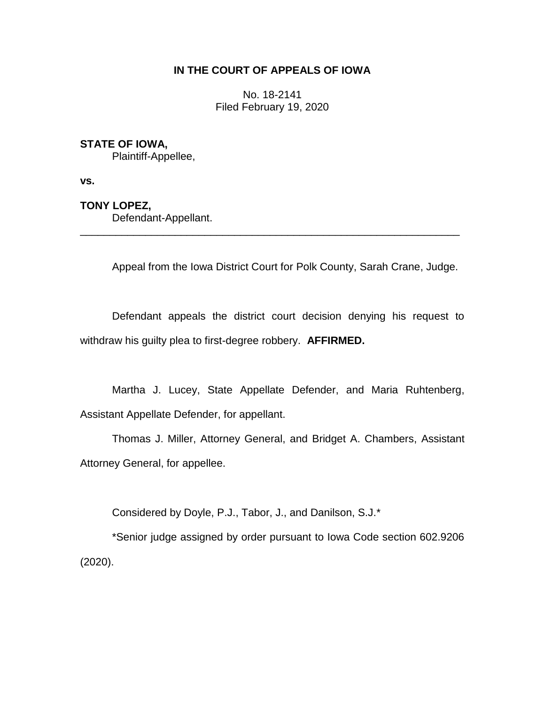# **IN THE COURT OF APPEALS OF IOWA**

No. 18-2141 Filed February 19, 2020

# **STATE OF IOWA,**

Plaintiff-Appellee,

**vs.**

# **TONY LOPEZ,**

Defendant-Appellant.

Appeal from the Iowa District Court for Polk County, Sarah Crane, Judge.

Defendant appeals the district court decision denying his request to withdraw his guilty plea to first-degree robbery. **AFFIRMED.**

\_\_\_\_\_\_\_\_\_\_\_\_\_\_\_\_\_\_\_\_\_\_\_\_\_\_\_\_\_\_\_\_\_\_\_\_\_\_\_\_\_\_\_\_\_\_\_\_\_\_\_\_\_\_\_\_\_\_\_\_\_\_\_\_

Martha J. Lucey, State Appellate Defender, and Maria Ruhtenberg, Assistant Appellate Defender, for appellant.

Thomas J. Miller, Attorney General, and Bridget A. Chambers, Assistant Attorney General, for appellee.

Considered by Doyle, P.J., Tabor, J., and Danilson, S.J.\*

\*Senior judge assigned by order pursuant to Iowa Code section 602.9206 (2020).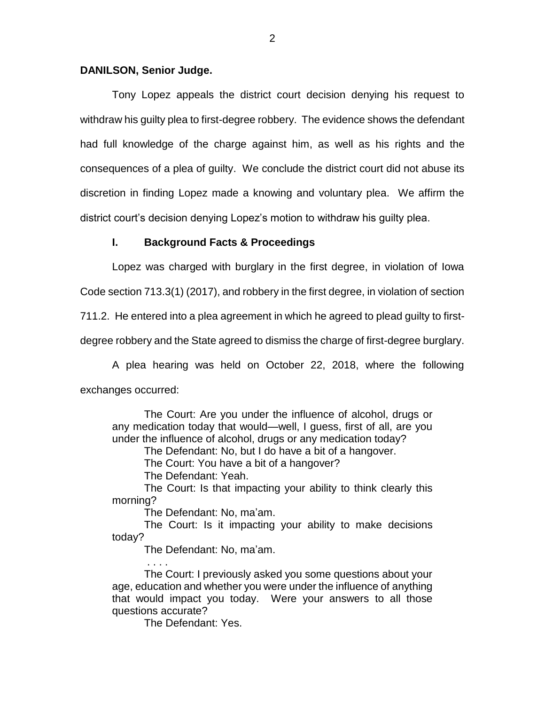### **DANILSON, Senior Judge.**

Tony Lopez appeals the district court decision denying his request to withdraw his guilty plea to first-degree robbery. The evidence shows the defendant had full knowledge of the charge against him, as well as his rights and the consequences of a plea of guilty. We conclude the district court did not abuse its discretion in finding Lopez made a knowing and voluntary plea. We affirm the district court's decision denying Lopez's motion to withdraw his guilty plea.

### **I. Background Facts & Proceedings**

Lopez was charged with burglary in the first degree, in violation of Iowa

Code section 713.3(1) (2017), and robbery in the first degree, in violation of section

711.2. He entered into a plea agreement in which he agreed to plead guilty to first-

degree robbery and the State agreed to dismiss the charge of first-degree burglary.

A plea hearing was held on October 22, 2018, where the following exchanges occurred:

The Court: Are you under the influence of alcohol, drugs or any medication today that would—well, I guess, first of all, are you under the influence of alcohol, drugs or any medication today?

The Defendant: No, but I do have a bit of a hangover.

The Court: You have a bit of a hangover?

The Defendant: Yeah.

The Court: Is that impacting your ability to think clearly this morning?

The Defendant: No, ma'am.

The Court: Is it impacting your ability to make decisions today?

The Defendant: No, ma'am.

The Court: I previously asked you some questions about your age, education and whether you were under the influence of anything that would impact you today. Were your answers to all those questions accurate?

The Defendant: Yes.

. . . .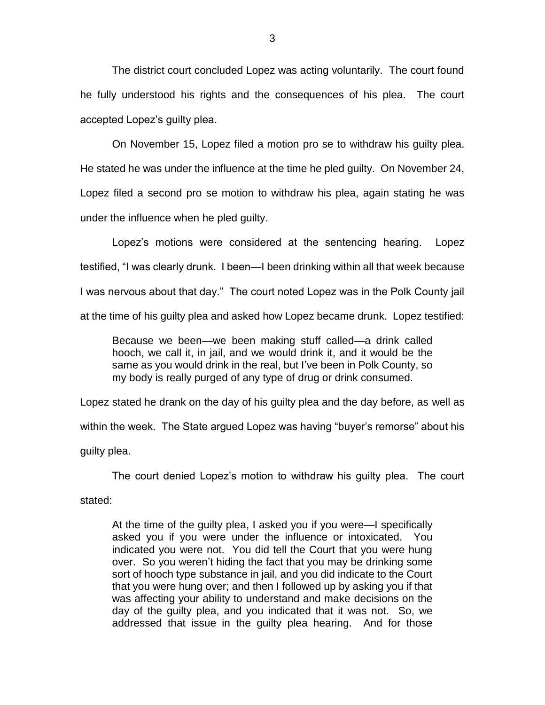The district court concluded Lopez was acting voluntarily. The court found he fully understood his rights and the consequences of his plea. The court accepted Lopez's guilty plea.

On November 15, Lopez filed a motion pro se to withdraw his guilty plea. He stated he was under the influence at the time he pled guilty. On November 24, Lopez filed a second pro se motion to withdraw his plea, again stating he was under the influence when he pled guilty.

Lopez's motions were considered at the sentencing hearing. Lopez testified, "I was clearly drunk. I been—I been drinking within all that week because I was nervous about that day." The court noted Lopez was in the Polk County jail at the time of his guilty plea and asked how Lopez became drunk. Lopez testified:

Because we been—we been making stuff called—a drink called hooch, we call it, in jail, and we would drink it, and it would be the same as you would drink in the real, but I've been in Polk County, so my body is really purged of any type of drug or drink consumed.

Lopez stated he drank on the day of his guilty plea and the day before, as well as within the week. The State argued Lopez was having "buyer's remorse" about his guilty plea.

The court denied Lopez's motion to withdraw his guilty plea. The court

stated:

At the time of the guilty plea, I asked you if you were—I specifically asked you if you were under the influence or intoxicated. You indicated you were not. You did tell the Court that you were hung over. So you weren't hiding the fact that you may be drinking some sort of hooch type substance in jail, and you did indicate to the Court that you were hung over; and then I followed up by asking you if that was affecting your ability to understand and make decisions on the day of the guilty plea, and you indicated that it was not. So, we addressed that issue in the guilty plea hearing. And for those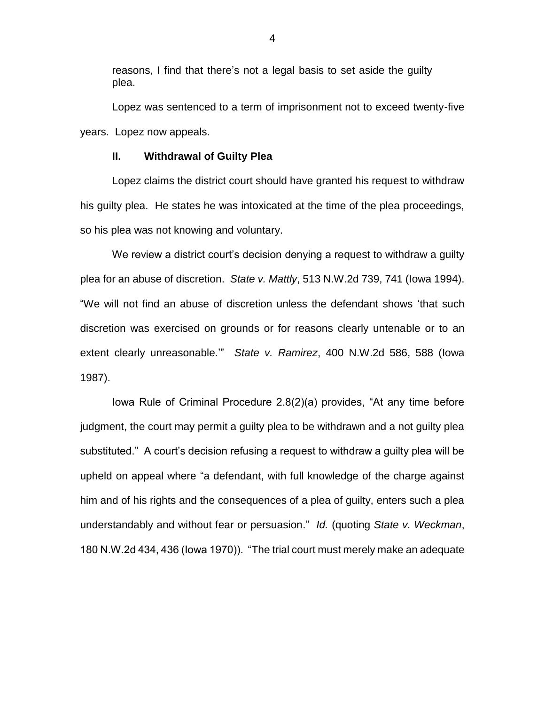reasons, I find that there's not a legal basis to set aside the guilty plea.

Lopez was sentenced to a term of imprisonment not to exceed twenty-five years. Lopez now appeals.

### **II. Withdrawal of Guilty Plea**

Lopez claims the district court should have granted his request to withdraw his guilty plea. He states he was intoxicated at the time of the plea proceedings, so his plea was not knowing and voluntary.

We review a district court's decision denying a request to withdraw a quilty plea for an abuse of discretion. *State v. Mattly*, 513 N.W.2d 739, 741 (Iowa 1994). "We will not find an abuse of discretion unless the defendant shows 'that such discretion was exercised on grounds or for reasons clearly untenable or to an extent clearly unreasonable.'" *State v. Ramirez*, 400 N.W.2d 586, 588 (Iowa 1987).

Iowa Rule of Criminal Procedure 2.8(2)(a) provides, "At any time before judgment, the court may permit a guilty plea to be withdrawn and a not guilty plea substituted." A court's decision refusing a request to withdraw a guilty plea will be upheld on appeal where "a defendant, with full knowledge of the charge against him and of his rights and the consequences of a plea of guilty, enters such a plea understandably and without fear or persuasion." *Id.* (quoting *State v. Weckman*, 180 N.W.2d 434, 436 (Iowa 1970)). "The trial court must merely make an adequate